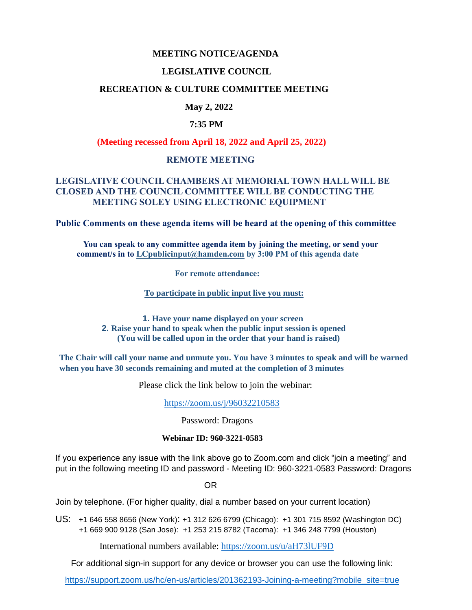#### **MEETING NOTICE/AGENDA**

#### **LEGISLATIVE COUNCIL**

#### **RECREATION & CULTURE COMMITTEE MEETING**

# **May 2, 2022**

#### **7:35 PM**

 **(Meeting recessed from April 18, 2022 and April 25, 2022)**

#### **REMOTE MEETING**

### **LEGISLATIVE COUNCIL CHAMBERS AT MEMORIAL TOWN HALL WILL BE CLOSED AND THE COUNCIL COMMITTEE WILL BE CONDUCTING THE MEETING SOLEY USING ELECTRONIC EQUIPMENT**

**Public Comments on these agenda items will be heard at the opening of this committee** 

 **You can speak to any committee agenda item by joining the meeting, or send your comment/s in to [LCpublicinput@hamden.com](mailto:LCpublicinput@hamden.com) by 3:00 PM of this agenda date**

 **For remote attendance:**

**To participate in public input live you must:**

**1. Have your name displayed on your screen 2. Raise your hand to speak when the public input session is opened (You will be called upon in the order that your hand is raised)**

**The Chair will call your name and unmute you. You have 3 minutes to speak and will be warned when you have 30 seconds remaining and muted at the completion of 3 minutes**

Please click the link below to join the webinar:

<https://zoom.us/j/96032210583>

Password: Dragons

#### **Webinar ID: 960-3221-0583**

If you experience any issue with the link above go to Zoom.com and click "join a meeting" and put in the following meeting ID and password - Meeting ID: 960-3221-0583 Password: Dragons

OR

Join by telephone. (For higher quality, dial a number based on your current location)

US: [+1 646 558 8656 \(New York\)](tel:+16465588656): [+1 312 626 6799 \(Chicago\):](tel:+13126266799) [+1 301 715 8592 \(Washington DC\)](tel:+13017158592) +1 669 900 9128 (San Jose): [+1 253 215 8782 \(Tacoma\):](tel:+12532158782) [+1 346 248 7799 \(Houston\)](tel:+13462487799)

International numbers available:<https://zoom.us/u/aH73lUF9D>

For additional sign-in support for any device or browser you can use the following link:

[https://support.zoom.us/hc/en-us/articles/201362193-Joining-a-meeting?mobile\\_site=true](https://support.zoom.us/hc/en-us/articles/201362193-Joining-a-meeting?mobile_site=true)